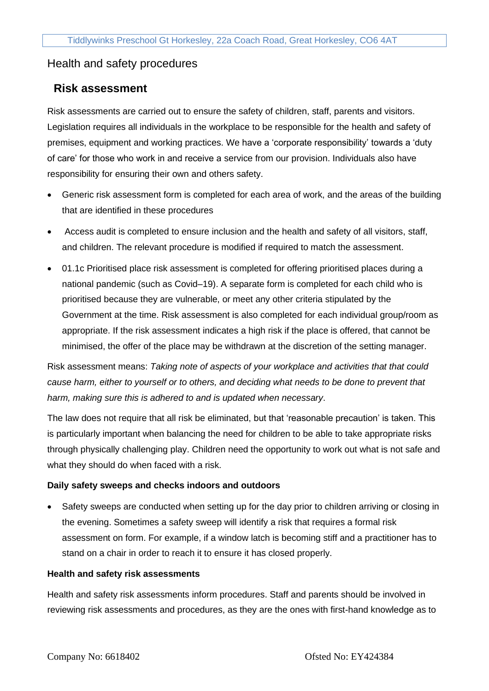## Health and safety procedures

## **Risk assessment**

Risk assessments are carried out to ensure the safety of children, staff, parents and visitors. Legislation requires all individuals in the workplace to be responsible for the health and safety of premises, equipment and working practices. We have a 'corporate responsibility' towards a 'duty of care' for those who work in and receive a service from our provision. Individuals also have responsibility for ensuring their own and others safety.

- Generic risk assessment form is completed for each area of work, and the areas of the building that are identified in these procedures
- Access audit is completed to ensure inclusion and the health and safety of all visitors, staff, and children. The relevant procedure is modified if required to match the assessment.
- 01.1c Prioritised place risk assessment is completed for offering prioritised places during a national pandemic (such as Covid–19). A separate form is completed for each child who is prioritised because they are vulnerable, or meet any other criteria stipulated by the Government at the time. Risk assessment is also completed for each individual group/room as appropriate. If the risk assessment indicates a high risk if the place is offered, that cannot be minimised, the offer of the place may be withdrawn at the discretion of the setting manager.

Risk assessment means: *Taking note of aspects of your workplace and activities that that could cause harm, either to yourself or to others, and deciding what needs to be done to prevent that harm, making sure this is adhered to and is updated when necessary*.

The law does not require that all risk be eliminated, but that 'reasonable precaution' is taken. This is particularly important when balancing the need for children to be able to take appropriate risks through physically challenging play. Children need the opportunity to work out what is not safe and what they should do when faced with a risk.

## **Daily safety sweeps and checks indoors and outdoors**

• Safety sweeps are conducted when setting up for the day prior to children arriving or closing in the evening. Sometimes a safety sweep will identify a risk that requires a formal risk assessment on form. For example, if a window latch is becoming stiff and a practitioner has to stand on a chair in order to reach it to ensure it has closed properly.

## **Health and safety risk assessments**

Health and safety risk assessments inform procedures. Staff and parents should be involved in reviewing risk assessments and procedures, as they are the ones with first-hand knowledge as to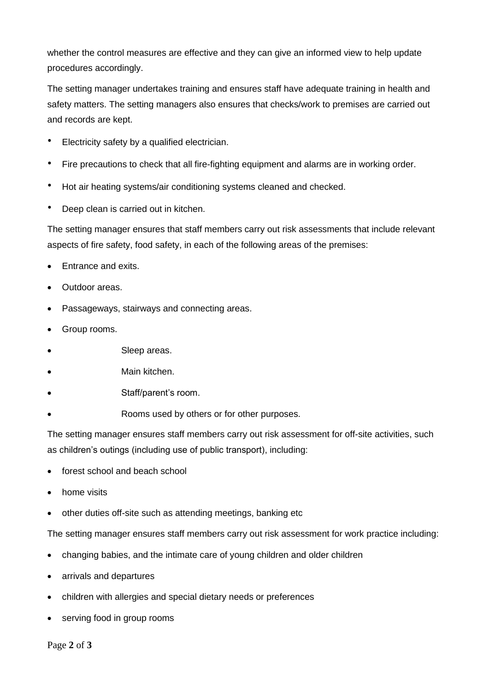whether the control measures are effective and they can give an informed view to help update procedures accordingly.

The setting manager undertakes training and ensures staff have adequate training in health and safety matters. The setting managers also ensures that checks/work to premises are carried out and records are kept.

- Electricity safety by a qualified electrician.
- Fire precautions to check that all fire-fighting equipment and alarms are in working order.
- Hot air heating systems/air conditioning systems cleaned and checked.
- Deep clean is carried out in kitchen.

The setting manager ensures that staff members carry out risk assessments that include relevant aspects of fire safety, food safety, in each of the following areas of the premises:

- Entrance and exits.
- Outdoor areas.
- Passageways, stairways and connecting areas.
- Group rooms.
- Sleep areas.
- Main kitchen.
- Staff/parent's room.
- Rooms used by others or for other purposes.

The setting manager ensures staff members carry out risk assessment for off-site activities, such as children's outings (including use of public transport), including:

- forest school and beach school
- home visits
- other duties off-site such as attending meetings, banking etc

The setting manager ensures staff members carry out risk assessment for work practice including:

- changing babies, and the intimate care of young children and older children
- arrivals and departures
- children with allergies and special dietary needs or preferences
- serving food in group rooms

Page **2** of **3**